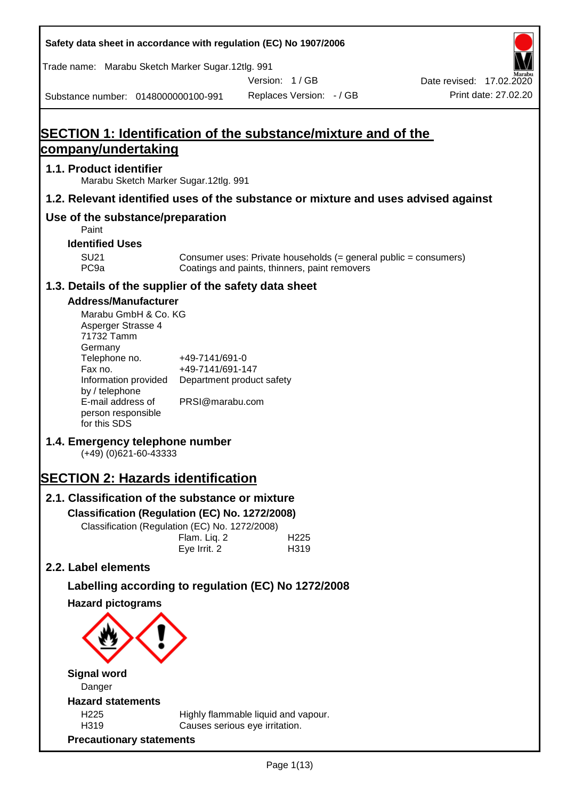**Safety data sheet in accordance with regulation (EC) No 1907/2006** Substance number: 0148000000100-991 Version: 1 / GB Replaces Version: - / GB Print date: 27.02.20 Date revised: 17.02.2020 Trade name: Marabu Sketch Marker Sugar.12tlg. 991 **SECTION 1: Identification of the substance/mixture and of the company/undertaking 1.1. Product identifier** Marabu Sketch Marker Sugar.12tlg. 991 **1.2. Relevant identified uses of the substance or mixture and uses advised against Use of the substance/preparation** Paint **Identified Uses** SU21 Consumer uses: Private households (= general public = consumers)<br>PC9a Coatings and paints, thinners, paint removers Coatings and paints, thinners, paint removers **1.3. Details of the supplier of the safety data sheet Address/Manufacturer** Marabu GmbH & Co. KG Asperger Strasse 4 71732 Tamm **Germany** Telephone no. +49-7141/691-0 Fax no.  $+49-7141/691-147$ Information provided Department product safety by / telephone E-mail address of person responsible for this SDS PRSI@marabu.com **1.4. Emergency telephone number** (+49) (0)621-60-43333 **SECTION 2: Hazards identification 2.1. Classification of the substance or mixture Classification (Regulation (EC) No. 1272/2008)** Classification (Regulation (EC) No. 1272/2008) Flam. Liq. 2 H225 Eye Irrit. 2 H319 **2.2. Label elements Labelling according to regulation (EC) No 1272/2008 Hazard pictograms Signal word** Danger **Hazard statements** H225 Highly flammable liquid and vapour. H319 Causes serious eye irritation. **Precautionary statements**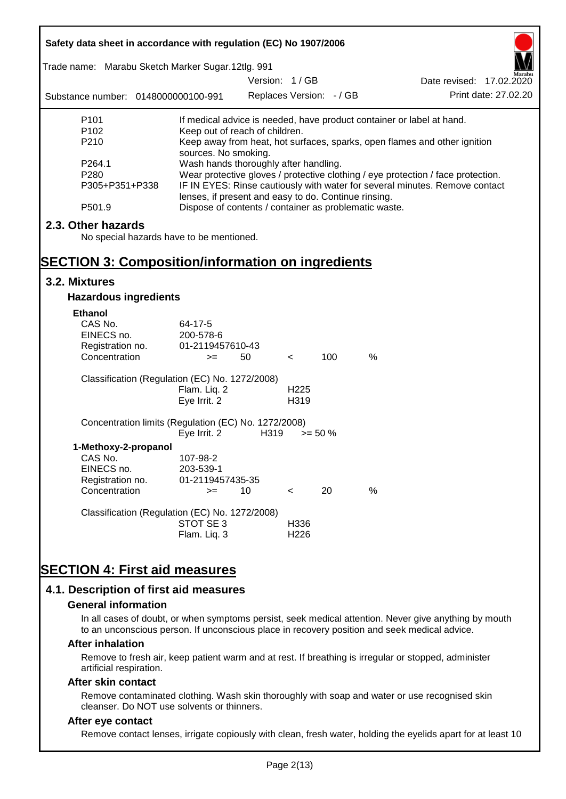| Safety data sheet in accordance with regulation (EC) No 1907/2006                                                          |                                                                                                                                                                                                          |                          |                          |            |                                                                           |  |
|----------------------------------------------------------------------------------------------------------------------------|----------------------------------------------------------------------------------------------------------------------------------------------------------------------------------------------------------|--------------------------|--------------------------|------------|---------------------------------------------------------------------------|--|
| Trade name: Marabu Sketch Marker Sugar.12tlg. 991                                                                          |                                                                                                                                                                                                          | Version: 1/GB            |                          |            | Date revised: 17.02.2020                                                  |  |
| Substance number: 0148000000100-991                                                                                        |                                                                                                                                                                                                          | Replaces Version: - / GB |                          |            | Print date: 27,02.20                                                      |  |
| P <sub>101</sub>                                                                                                           |                                                                                                                                                                                                          |                          |                          |            | If medical advice is needed, have product container or label at hand.     |  |
| P <sub>102</sub><br>P210                                                                                                   | Keep out of reach of children.<br>sources. No smoking.                                                                                                                                                   |                          |                          |            | Keep away from heat, hot surfaces, sparks, open flames and other ignition |  |
| P264.1<br>P280<br>P305+P351+P338                                                                                           | Wash hands thoroughly after handling.<br>Wear protective gloves / protective clothing / eye protection / face protection.<br>IF IN EYES: Rinse cautiously with water for several minutes. Remove contact |                          |                          |            |                                                                           |  |
| P501.9                                                                                                                     | lenses, if present and easy to do. Continue rinsing.                                                                                                                                                     |                          |                          |            | Dispose of contents / container as problematic waste.                     |  |
| 2.3. Other hazards<br>No special hazards have to be mentioned.<br><b>SECTION 3: Composition/information on ingredients</b> |                                                                                                                                                                                                          |                          |                          |            |                                                                           |  |
| 3.2. Mixtures                                                                                                              |                                                                                                                                                                                                          |                          |                          |            |                                                                           |  |
| <b>Hazardous ingredients</b>                                                                                               |                                                                                                                                                                                                          |                          |                          |            |                                                                           |  |
| <b>Ethanol</b><br>CAS No.<br>EINECS no.<br>Registration no.<br>Concentration                                               | 64-17-5<br>200-578-6<br>01-2119457610-43<br>$>=$                                                                                                                                                         | 50                       | $\,<\,$                  | 100        | $\%$                                                                      |  |
| Classification (Regulation (EC) No. 1272/2008)                                                                             | Flam. Liq. 2<br>Eye Irrit. 2                                                                                                                                                                             |                          | H <sub>225</sub><br>H319 |            |                                                                           |  |
| Concentration limits (Regulation (EC) No. 1272/2008)                                                                       | Eye Irrit. 2                                                                                                                                                                                             | H319                     |                          | $>= 50 \%$ |                                                                           |  |
| 1-Methoxy-2-propanol<br>CAS No.<br>EINECS no.<br>Registration no.                                                          | 107-98-2<br>203-539-1<br>01-2119457435-35                                                                                                                                                                |                          |                          |            |                                                                           |  |
| Concentration                                                                                                              | $>=$                                                                                                                                                                                                     | 10                       | $\,<\,$                  | 20         | %                                                                         |  |
| Classification (Regulation (EC) No. 1272/2008)                                                                             | STOT SE3<br>Flam. Liq. 3                                                                                                                                                                                 |                          | H336<br>H <sub>226</sub> |            |                                                                           |  |
| <b>SECTION 4: First aid measures</b><br>4.1. Description of first aid measures                                             |                                                                                                                                                                                                          |                          |                          |            |                                                                           |  |

#### **General information**

In all cases of doubt, or when symptoms persist, seek medical attention. Never give anything by mouth to an unconscious person. If unconscious place in recovery position and seek medical advice.

#### **After inhalation**

Remove to fresh air, keep patient warm and at rest. If breathing is irregular or stopped, administer artificial respiration.

#### **After skin contact**

Remove contaminated clothing. Wash skin thoroughly with soap and water or use recognised skin cleanser. Do NOT use solvents or thinners.

#### **After eye contact**

Remove contact lenses, irrigate copiously with clean, fresh water, holding the eyelids apart for at least 10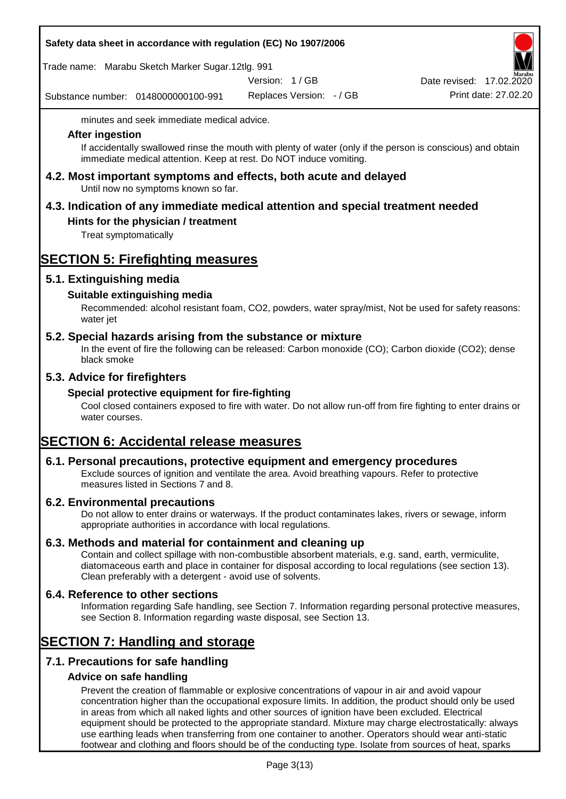#### **Safety data sheet in accordance with regulation (EC) No 1907/2006**

Trade name: Marabu Sketch Marker Sugar.12tlg. 991

Version: 1 / GB

Substance number: 0148000000100-991

Replaces Version: - / GB Print date: 27.02.20 Date revised: 17.02.2020

minutes and seek immediate medical advice.

#### **After ingestion**

If accidentally swallowed rinse the mouth with plenty of water (only if the person is conscious) and obtain immediate medical attention. Keep at rest. Do NOT induce vomiting.

**4.2. Most important symptoms and effects, both acute and delayed** Until now no symptoms known so far.

# **4.3. Indication of any immediate medical attention and special treatment needed**

### **Hints for the physician / treatment**

Treat symptomatically

## **SECTION 5: Firefighting measures**

### **5.1. Extinguishing media**

### **Suitable extinguishing media**

Recommended: alcohol resistant foam, CO2, powders, water spray/mist, Not be used for safety reasons: water jet

### **5.2. Special hazards arising from the substance or mixture**

In the event of fire the following can be released: Carbon monoxide (CO); Carbon dioxide (CO2); dense black smoke

### **5.3. Advice for firefighters**

#### **Special protective equipment for fire-fighting**

Cool closed containers exposed to fire with water. Do not allow run-off from fire fighting to enter drains or water courses.

## **SECTION 6: Accidental release measures**

#### **6.1. Personal precautions, protective equipment and emergency procedures**

Exclude sources of ignition and ventilate the area. Avoid breathing vapours. Refer to protective measures listed in Sections 7 and 8.

#### **6.2. Environmental precautions**

Do not allow to enter drains or waterways. If the product contaminates lakes, rivers or sewage, inform appropriate authorities in accordance with local regulations.

#### **6.3. Methods and material for containment and cleaning up**

Contain and collect spillage with non-combustible absorbent materials, e.g. sand, earth, vermiculite, diatomaceous earth and place in container for disposal according to local regulations (see section 13). Clean preferably with a detergent - avoid use of solvents.

#### **6.4. Reference to other sections**

Information regarding Safe handling, see Section 7. Information regarding personal protective measures, see Section 8. Information regarding waste disposal, see Section 13.

## **SECTION 7: Handling and storage**

## **7.1. Precautions for safe handling**

#### **Advice on safe handling**

Prevent the creation of flammable or explosive concentrations of vapour in air and avoid vapour concentration higher than the occupational exposure limits. In addition, the product should only be used in areas from which all naked lights and other sources of ignition have been excluded. Electrical equipment should be protected to the appropriate standard. Mixture may charge electrostatically: always use earthing leads when transferring from one container to another. Operators should wear anti-static footwear and clothing and floors should be of the conducting type. Isolate from sources of heat, sparks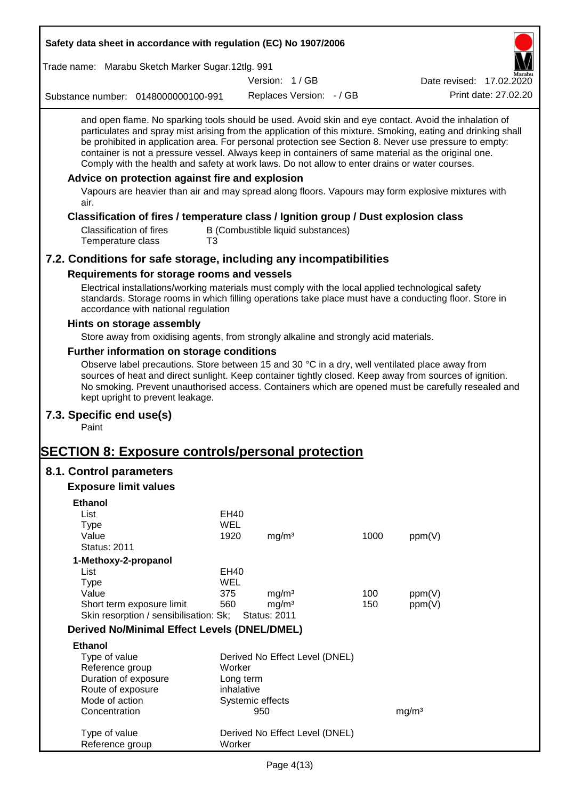| Safety data sheet in accordance with regulation (EC) No 1907/2006                                                                                                                                                                                                                                                                                                                                                                                                                                                                                                                                                                                                                                         |                         |                     |                                   |      |                          |
|-----------------------------------------------------------------------------------------------------------------------------------------------------------------------------------------------------------------------------------------------------------------------------------------------------------------------------------------------------------------------------------------------------------------------------------------------------------------------------------------------------------------------------------------------------------------------------------------------------------------------------------------------------------------------------------------------------------|-------------------------|---------------------|-----------------------------------|------|--------------------------|
| Trade name: Marabu Sketch Marker Sugar.12tlg. 991                                                                                                                                                                                                                                                                                                                                                                                                                                                                                                                                                                                                                                                         |                         |                     |                                   |      |                          |
|                                                                                                                                                                                                                                                                                                                                                                                                                                                                                                                                                                                                                                                                                                           |                         | Version: 1/GB       |                                   |      | Date revised: 17.02.2020 |
| Substance number: 0148000000100-991                                                                                                                                                                                                                                                                                                                                                                                                                                                                                                                                                                                                                                                                       |                         |                     | Replaces Version: - / GB          |      | Print date: 27,02.20     |
| and open flame. No sparking tools should be used. Avoid skin and eye contact. Avoid the inhalation of<br>particulates and spray mist arising from the application of this mixture. Smoking, eating and drinking shall<br>be prohibited in application area. For personal protection see Section 8. Never use pressure to empty:<br>container is not a pressure vessel. Always keep in containers of same material as the original one.<br>Comply with the health and safety at work laws. Do not allow to enter drains or water courses.<br>Advice on protection against fire and explosion<br>Vapours are heavier than air and may spread along floors. Vapours may form explosive mixtures with<br>air. |                         |                     |                                   |      |                          |
| Classification of fires / temperature class / Ignition group / Dust explosion class<br><b>Classification of fires</b><br>Temperature class<br>T3                                                                                                                                                                                                                                                                                                                                                                                                                                                                                                                                                          |                         |                     | B (Combustible liquid substances) |      |                          |
| 7.2. Conditions for safe storage, including any incompatibilities                                                                                                                                                                                                                                                                                                                                                                                                                                                                                                                                                                                                                                         |                         |                     |                                   |      |                          |
| Requirements for storage rooms and vessels                                                                                                                                                                                                                                                                                                                                                                                                                                                                                                                                                                                                                                                                |                         |                     |                                   |      |                          |
| Electrical installations/working materials must comply with the local applied technological safety<br>standards. Storage rooms in which filling operations take place must have a conducting floor. Store in<br>accordance with national regulation                                                                                                                                                                                                                                                                                                                                                                                                                                                       |                         |                     |                                   |      |                          |
| Hints on storage assembly                                                                                                                                                                                                                                                                                                                                                                                                                                                                                                                                                                                                                                                                                 |                         |                     |                                   |      |                          |
| Store away from oxidising agents, from strongly alkaline and strongly acid materials.                                                                                                                                                                                                                                                                                                                                                                                                                                                                                                                                                                                                                     |                         |                     |                                   |      |                          |
| Further information on storage conditions                                                                                                                                                                                                                                                                                                                                                                                                                                                                                                                                                                                                                                                                 |                         |                     |                                   |      |                          |
| Observe label precautions. Store between 15 and 30 °C in a dry, well ventilated place away from<br>sources of heat and direct sunlight. Keep container tightly closed. Keep away from sources of ignition.<br>No smoking. Prevent unauthorised access. Containers which are opened must be carefully resealed and<br>kept upright to prevent leakage.                                                                                                                                                                                                                                                                                                                                                     |                         |                     |                                   |      |                          |
| 7.3. Specific end use(s)<br>Paint                                                                                                                                                                                                                                                                                                                                                                                                                                                                                                                                                                                                                                                                         |                         |                     |                                   |      |                          |
| <b>SECTION 8: Exposure controls/personal protection</b>                                                                                                                                                                                                                                                                                                                                                                                                                                                                                                                                                                                                                                                   |                         |                     |                                   |      |                          |
| 8.1. Control parameters                                                                                                                                                                                                                                                                                                                                                                                                                                                                                                                                                                                                                                                                                   |                         |                     |                                   |      |                          |
| <b>Exposure limit values</b>                                                                                                                                                                                                                                                                                                                                                                                                                                                                                                                                                                                                                                                                              |                         |                     |                                   |      |                          |
| <b>Ethanol</b>                                                                                                                                                                                                                                                                                                                                                                                                                                                                                                                                                                                                                                                                                            |                         |                     |                                   |      |                          |
| List                                                                                                                                                                                                                                                                                                                                                                                                                                                                                                                                                                                                                                                                                                      | EH40                    |                     |                                   |      |                          |
| Type                                                                                                                                                                                                                                                                                                                                                                                                                                                                                                                                                                                                                                                                                                      | <b>WEL</b>              |                     |                                   |      |                          |
| Value                                                                                                                                                                                                                                                                                                                                                                                                                                                                                                                                                                                                                                                                                                     | 1920                    | mg/m <sup>3</sup>   |                                   | 1000 | ppm(V)                   |
| <b>Status: 2011</b>                                                                                                                                                                                                                                                                                                                                                                                                                                                                                                                                                                                                                                                                                       |                         |                     |                                   |      |                          |
| 1-Methoxy-2-propanol<br>List                                                                                                                                                                                                                                                                                                                                                                                                                                                                                                                                                                                                                                                                              | EH40                    |                     |                                   |      |                          |
| <b>Type</b>                                                                                                                                                                                                                                                                                                                                                                                                                                                                                                                                                                                                                                                                                               | WEL                     |                     |                                   |      |                          |
| Value                                                                                                                                                                                                                                                                                                                                                                                                                                                                                                                                                                                                                                                                                                     | 375                     | mg/m <sup>3</sup>   |                                   | 100  | ppm(V)                   |
| Short term exposure limit                                                                                                                                                                                                                                                                                                                                                                                                                                                                                                                                                                                                                                                                                 | 560                     | mg/m <sup>3</sup>   |                                   | 150  | ppm(V)                   |
| Skin resorption / sensibilisation: Sk;                                                                                                                                                                                                                                                                                                                                                                                                                                                                                                                                                                                                                                                                    |                         | <b>Status: 2011</b> |                                   |      |                          |
| <b>Derived No/Minimal Effect Levels (DNEL/DMEL)</b>                                                                                                                                                                                                                                                                                                                                                                                                                                                                                                                                                                                                                                                       |                         |                     |                                   |      |                          |
| <b>Ethanol</b>                                                                                                                                                                                                                                                                                                                                                                                                                                                                                                                                                                                                                                                                                            |                         |                     |                                   |      |                          |
| Type of value                                                                                                                                                                                                                                                                                                                                                                                                                                                                                                                                                                                                                                                                                             |                         |                     | Derived No Effect Level (DNEL)    |      |                          |
| Reference group                                                                                                                                                                                                                                                                                                                                                                                                                                                                                                                                                                                                                                                                                           | Worker                  |                     |                                   |      |                          |
| Duration of exposure<br>Route of exposure                                                                                                                                                                                                                                                                                                                                                                                                                                                                                                                                                                                                                                                                 | Long term<br>inhalative |                     |                                   |      |                          |
| Mode of action                                                                                                                                                                                                                                                                                                                                                                                                                                                                                                                                                                                                                                                                                            |                         | Systemic effects    |                                   |      |                          |
| Concentration                                                                                                                                                                                                                                                                                                                                                                                                                                                                                                                                                                                                                                                                                             |                         | 950                 |                                   |      | mg/m <sup>3</sup>        |
| Type of value<br>Reference group                                                                                                                                                                                                                                                                                                                                                                                                                                                                                                                                                                                                                                                                          | Worker                  |                     | Derived No Effect Level (DNEL)    |      |                          |
|                                                                                                                                                                                                                                                                                                                                                                                                                                                                                                                                                                                                                                                                                                           |                         |                     |                                   |      |                          |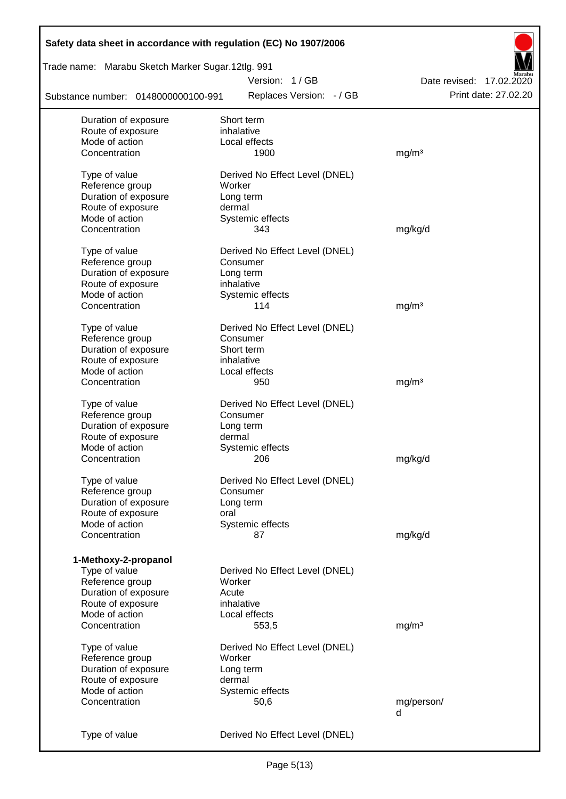| Safety data sheet in accordance with regulation (EC) No 1907/2006 |                                |                          |
|-------------------------------------------------------------------|--------------------------------|--------------------------|
| Trade name: Marabu Sketch Marker Sugar.12tlg. 991                 |                                |                          |
|                                                                   | Version: 1/GB                  | Date revised: 17.02.2020 |
| Substance number: 0148000000100-991                               | Replaces Version: - / GB       | Print date: 27.02.20     |
| Duration of exposure                                              | Short term                     |                          |
| Route of exposure                                                 | inhalative                     |                          |
| Mode of action                                                    | Local effects                  |                          |
| Concentration                                                     | 1900                           | mg/m <sup>3</sup>        |
| Type of value                                                     | Derived No Effect Level (DNEL) |                          |
| Reference group                                                   | Worker                         |                          |
| Duration of exposure                                              | Long term                      |                          |
| Route of exposure                                                 | dermal                         |                          |
| Mode of action                                                    | Systemic effects               |                          |
| Concentration                                                     | 343                            | mg/kg/d                  |
| Type of value                                                     | Derived No Effect Level (DNEL) |                          |
| Reference group                                                   | Consumer                       |                          |
| Duration of exposure                                              | Long term                      |                          |
| Route of exposure                                                 | inhalative                     |                          |
| Mode of action                                                    |                                |                          |
| Concentration                                                     | Systemic effects<br>114        | mg/m <sup>3</sup>        |
|                                                                   |                                |                          |
| Type of value                                                     | Derived No Effect Level (DNEL) |                          |
| Reference group                                                   | Consumer                       |                          |
| Duration of exposure                                              | Short term                     |                          |
| Route of exposure                                                 | inhalative                     |                          |
| Mode of action                                                    | Local effects                  |                          |
| Concentration                                                     | 950                            | mg/m <sup>3</sup>        |
| Type of value                                                     | Derived No Effect Level (DNEL) |                          |
| Reference group                                                   | Consumer                       |                          |
| Duration of exposure                                              | Long term                      |                          |
| Route of exposure                                                 | dermal                         |                          |
| Mode of action                                                    | Systemic effects               |                          |
| Concentration                                                     | 206                            | mg/kg/d                  |
|                                                                   |                                |                          |
| Type of value                                                     | Derived No Effect Level (DNEL) |                          |
| Reference group                                                   | Consumer                       |                          |
| Duration of exposure                                              | Long term                      |                          |
| Route of exposure                                                 | oral                           |                          |
| Mode of action                                                    | Systemic effects               |                          |
| Concentration                                                     | 87                             | mg/kg/d                  |
| 1-Methoxy-2-propanol                                              |                                |                          |
| Type of value                                                     | Derived No Effect Level (DNEL) |                          |
| Reference group                                                   | Worker                         |                          |
| Duration of exposure                                              | Acute                          |                          |
| Route of exposure                                                 | inhalative                     |                          |
| Mode of action                                                    | Local effects                  |                          |
| Concentration                                                     | 553,5                          | mg/m <sup>3</sup>        |
|                                                                   |                                |                          |
| Type of value                                                     | Derived No Effect Level (DNEL) |                          |
| Reference group                                                   | Worker                         |                          |
| Duration of exposure                                              | Long term                      |                          |
| Route of exposure                                                 | dermal                         |                          |
| Mode of action                                                    | Systemic effects               |                          |
| Concentration                                                     | 50,6                           | mg/person/               |
|                                                                   |                                | d                        |
| Type of value                                                     | Derived No Effect Level (DNEL) |                          |
|                                                                   |                                |                          |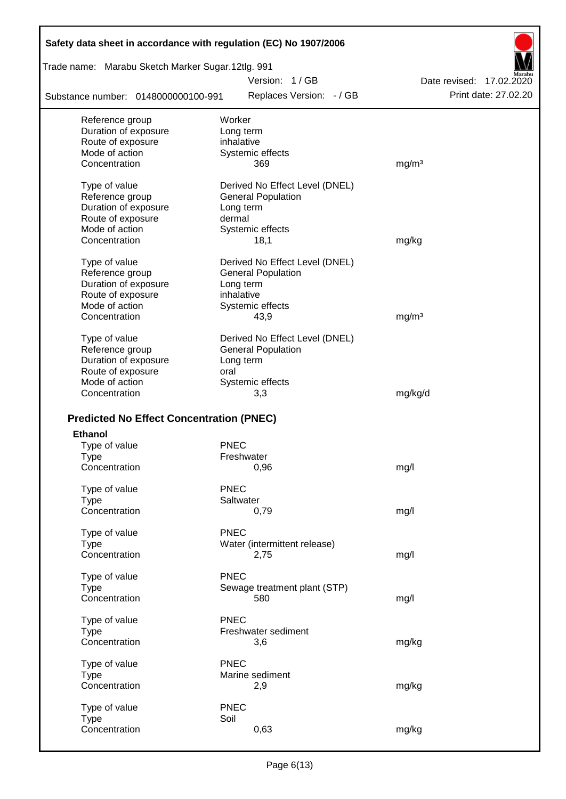| Safety data sheet in accordance with regulation (EC) No 1907/2006 |             |                                |                          |
|-------------------------------------------------------------------|-------------|--------------------------------|--------------------------|
| Trade name: Marabu Sketch Marker Sugar.12tlg. 991                 |             |                                |                          |
|                                                                   |             | Version: 1/GB                  | Date revised: 17.02.2020 |
| Substance number: 0148000000100-991                               |             | Replaces Version: - / GB       | Print date: 27,02.20     |
| Reference group                                                   |             | Worker                         |                          |
| Duration of exposure                                              |             | Long term                      |                          |
| Route of exposure                                                 |             | inhalative                     |                          |
| Mode of action                                                    |             | Systemic effects               |                          |
| Concentration                                                     |             | 369                            | mg/m <sup>3</sup>        |
| Type of value                                                     |             | Derived No Effect Level (DNEL) |                          |
| Reference group                                                   |             | <b>General Population</b>      |                          |
| Duration of exposure                                              |             | Long term                      |                          |
| Route of exposure                                                 |             | dermal                         |                          |
| Mode of action                                                    |             | Systemic effects               |                          |
| Concentration                                                     |             | 18,1                           | mg/kg                    |
| Type of value                                                     |             | Derived No Effect Level (DNEL) |                          |
| Reference group                                                   |             | <b>General Population</b>      |                          |
| Duration of exposure                                              |             | Long term                      |                          |
| Route of exposure                                                 |             | inhalative                     |                          |
| Mode of action                                                    |             | Systemic effects               |                          |
| Concentration                                                     |             | 43,9                           | mg/m <sup>3</sup>        |
|                                                                   |             |                                |                          |
| Type of value                                                     |             | Derived No Effect Level (DNEL) |                          |
| Reference group                                                   |             | <b>General Population</b>      |                          |
| Duration of exposure                                              |             | Long term                      |                          |
| Route of exposure                                                 | oral        |                                |                          |
| Mode of action                                                    |             | Systemic effects               |                          |
| Concentration                                                     |             | 3,3                            | mg/kg/d                  |
| <b>Predicted No Effect Concentration (PNEC)</b>                   |             |                                |                          |
| <b>Ethanol</b>                                                    |             |                                |                          |
| Type of value                                                     | <b>PNEC</b> |                                |                          |
|                                                                   |             | Freshwater                     |                          |
| Type<br>Concentration                                             |             | 0,96                           | mg/l                     |
|                                                                   |             |                                |                          |
| Type of value                                                     | <b>PNEC</b> |                                |                          |
| <b>Type</b>                                                       |             | Saltwater                      |                          |
| Concentration                                                     |             | 0,79                           | mg/l                     |
| Type of value                                                     | <b>PNEC</b> |                                |                          |
| <b>Type</b>                                                       |             | Water (intermittent release)   |                          |
| Concentration                                                     |             | 2,75                           | mg/l                     |
| Type of value                                                     | <b>PNEC</b> |                                |                          |
| <b>Type</b>                                                       |             | Sewage treatment plant (STP)   |                          |
| Concentration                                                     |             | 580                            | mg/l                     |
| Type of value                                                     | <b>PNEC</b> |                                |                          |
| <b>Type</b>                                                       |             | Freshwater sediment            |                          |
| Concentration                                                     |             | 3,6                            | mg/kg                    |
|                                                                   | <b>PNEC</b> |                                |                          |
| Type of value                                                     |             | Marine sediment                |                          |
| <b>Type</b><br>Concentration                                      |             |                                |                          |
|                                                                   |             | 2,9                            | mg/kg                    |
| Type of value                                                     | <b>PNEC</b> |                                |                          |
| <b>Type</b>                                                       | Soil        |                                |                          |
| Concentration                                                     |             | 0,63                           | mg/kg                    |
|                                                                   |             |                                |                          |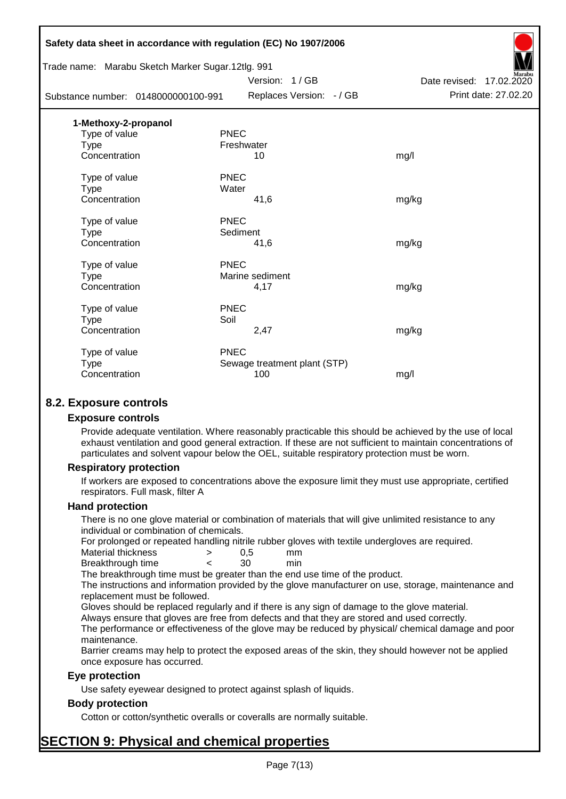|                                                   | Safety data sheet in accordance with regulation (EC) No 1907/2006 |                          |
|---------------------------------------------------|-------------------------------------------------------------------|--------------------------|
| Trade name: Marabu Sketch Marker Sugar.12tlg. 991 |                                                                   |                          |
|                                                   | Version: 1/GB                                                     | Date revised: 17.02.2020 |
| Substance number: 0148000000100-991               | Replaces Version: - / GB                                          | Print date: 27.02.20     |
| 1-Methoxy-2-propanol                              |                                                                   |                          |
| Type of value                                     | <b>PNEC</b>                                                       |                          |
| <b>Type</b>                                       | Freshwater                                                        |                          |
| Concentration                                     | 10                                                                | mg/l                     |
| Type of value                                     | <b>PNEC</b>                                                       |                          |
| <b>Type</b>                                       | Water                                                             |                          |
| Concentration                                     | 41,6                                                              | mg/kg                    |
| Type of value                                     | <b>PNEC</b>                                                       |                          |
| Type                                              | Sediment                                                          |                          |
| Concentration                                     | 41,6                                                              | mg/kg                    |
| Type of value                                     | <b>PNEC</b>                                                       |                          |
| <b>Type</b>                                       | Marine sediment                                                   |                          |
| Concentration                                     | 4,17                                                              | mg/kg                    |
| Type of value                                     | <b>PNEC</b>                                                       |                          |
| <b>Type</b>                                       | Soil                                                              |                          |
| Concentration                                     | 2,47                                                              | mg/kg                    |
| Type of value                                     | <b>PNEC</b>                                                       |                          |
| <b>Type</b>                                       | Sewage treatment plant (STP)                                      |                          |
| Concentration                                     | 100                                                               | mg/l                     |
|                                                   |                                                                   |                          |

## **8.2. Exposure controls**

#### **Exposure controls**

Provide adequate ventilation. Where reasonably practicable this should be achieved by the use of local exhaust ventilation and good general extraction. If these are not sufficient to maintain concentrations of particulates and solvent vapour below the OEL, suitable respiratory protection must be worn.

#### **Respiratory protection**

If workers are exposed to concentrations above the exposure limit they must use appropriate, certified respirators. Full mask, filter A

#### **Hand protection**

There is no one glove material or combination of materials that will give unlimited resistance to any individual or combination of chemicals.

For prolonged or repeated handling nitrile rubber gloves with textile undergloves are required.

| Material thickness | 0.5 | mm  |
|--------------------|-----|-----|
| Breakthrough time  | 30  | min |

The breakthrough time must be greater than the end use time of the product.

The instructions and information provided by the glove manufacturer on use, storage, maintenance and replacement must be followed.

Gloves should be replaced regularly and if there is any sign of damage to the glove material.

Always ensure that gloves are free from defects and that they are stored and used correctly.

The performance or effectiveness of the glove may be reduced by physical/ chemical damage and poor maintenance.

Barrier creams may help to protect the exposed areas of the skin, they should however not be applied once exposure has occurred.

#### **Eye protection**

Use safety eyewear designed to protect against splash of liquids.

#### **Body protection**

Cotton or cotton/synthetic overalls or coveralls are normally suitable.

## **SECTION 9: Physical and chemical properties**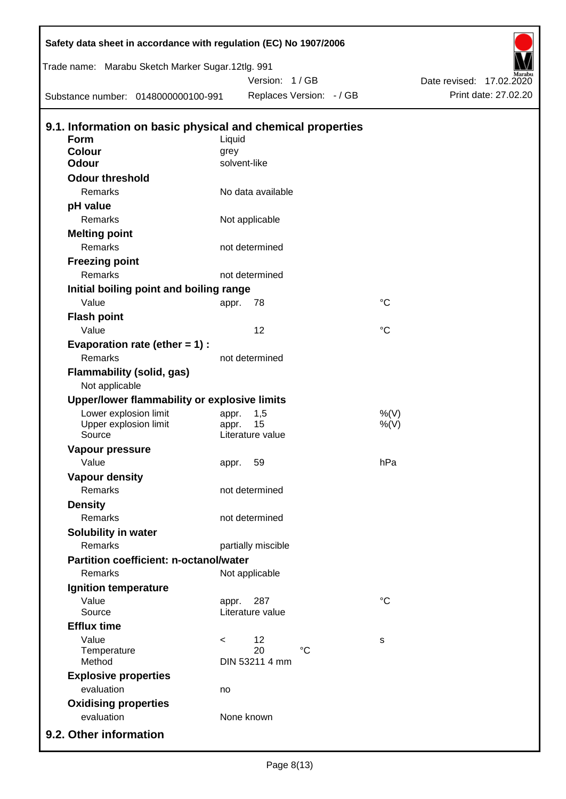| Safety data sheet in accordance with regulation (EC) No 1907/2006<br>Trade name: Marabu Sketch Marker Sugar.12tlg. 991 |         |                         |                          |             |                                                  |
|------------------------------------------------------------------------------------------------------------------------|---------|-------------------------|--------------------------|-------------|--------------------------------------------------|
| Substance number: 0148000000100-991                                                                                    |         | Version: 1/GB           | Replaces Version: - / GB |             | Date revised: 17.02.2020<br>Print date: 27.02.20 |
|                                                                                                                        |         |                         |                          |             |                                                  |
| 9.1. Information on basic physical and chemical properties                                                             |         |                         |                          |             |                                                  |
| <b>Form</b><br><b>Colour</b>                                                                                           | Liquid  |                         |                          |             |                                                  |
| <b>Odour</b>                                                                                                           | grey    | solvent-like            |                          |             |                                                  |
| <b>Odour threshold</b>                                                                                                 |         |                         |                          |             |                                                  |
| Remarks                                                                                                                |         | No data available       |                          |             |                                                  |
| pH value                                                                                                               |         |                         |                          |             |                                                  |
| Remarks                                                                                                                |         | Not applicable          |                          |             |                                                  |
| <b>Melting point</b>                                                                                                   |         |                         |                          |             |                                                  |
| Remarks                                                                                                                |         | not determined          |                          |             |                                                  |
| <b>Freezing point</b>                                                                                                  |         |                         |                          |             |                                                  |
| Remarks                                                                                                                |         | not determined          |                          |             |                                                  |
| Initial boiling point and boiling range                                                                                |         |                         |                          |             |                                                  |
| Value                                                                                                                  | appr.   | 78                      |                          | $^{\circ}C$ |                                                  |
| <b>Flash point</b>                                                                                                     |         |                         |                          |             |                                                  |
| Value                                                                                                                  |         | 12                      |                          | $^{\circ}C$ |                                                  |
|                                                                                                                        |         |                         |                          |             |                                                  |
| Evaporation rate (ether $= 1$ ) :<br>Remarks                                                                           |         | not determined          |                          |             |                                                  |
|                                                                                                                        |         |                         |                          |             |                                                  |
| <b>Flammability (solid, gas)</b><br>Not applicable                                                                     |         |                         |                          |             |                                                  |
| Upper/lower flammability or explosive limits                                                                           |         |                         |                          |             |                                                  |
| Lower explosion limit                                                                                                  | appr.   | 1,5                     |                          | %(V)        |                                                  |
| Upper explosion limit<br>Source                                                                                        | appr.   | 15<br>Literature value  |                          | $%$ (V)     |                                                  |
| <b>Vapour pressure</b>                                                                                                 |         |                         |                          |             |                                                  |
| Value                                                                                                                  |         | 59                      |                          | hPa         |                                                  |
| <b>Vapour density</b>                                                                                                  | appr.   |                         |                          |             |                                                  |
| Remarks                                                                                                                |         | not determined          |                          |             |                                                  |
| <b>Density</b>                                                                                                         |         |                         |                          |             |                                                  |
| Remarks                                                                                                                |         | not determined          |                          |             |                                                  |
|                                                                                                                        |         |                         |                          |             |                                                  |
| Solubility in water<br>Remarks                                                                                         |         |                         |                          |             |                                                  |
| <b>Partition coefficient: n-octanol/water</b>                                                                          |         | partially miscible      |                          |             |                                                  |
| Remarks                                                                                                                |         |                         |                          |             |                                                  |
|                                                                                                                        |         | Not applicable          |                          |             |                                                  |
| Ignition temperature                                                                                                   |         |                         |                          | $^{\circ}C$ |                                                  |
| Value<br>Source                                                                                                        | appr.   | 287<br>Literature value |                          |             |                                                  |
| <b>Efflux time</b>                                                                                                     |         |                         |                          |             |                                                  |
| Value                                                                                                                  | $\,<\,$ | 12                      |                          | s           |                                                  |
| Temperature                                                                                                            |         | 20                      | $^{\circ}C$              |             |                                                  |
| Method                                                                                                                 |         | DIN 53211 4 mm          |                          |             |                                                  |
| <b>Explosive properties</b>                                                                                            |         |                         |                          |             |                                                  |
| evaluation                                                                                                             | no      |                         |                          |             |                                                  |
| <b>Oxidising properties</b>                                                                                            |         |                         |                          |             |                                                  |
| evaluation                                                                                                             |         | None known              |                          |             |                                                  |
| 9.2. Other information                                                                                                 |         |                         |                          |             |                                                  |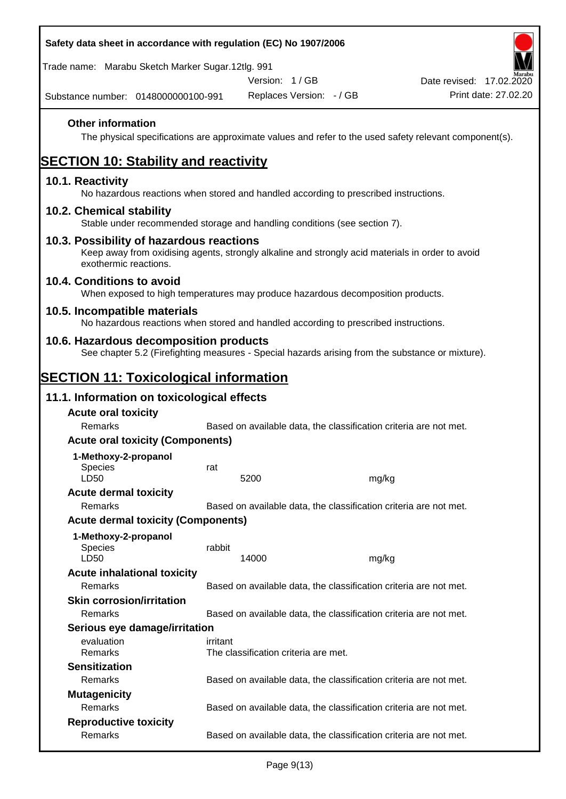| Safety data sheet in accordance with regulation (EC) No 1907/2006                                                                          |                                                                                                                                              |                                      |       |                                                                                                        |  |  |  |
|--------------------------------------------------------------------------------------------------------------------------------------------|----------------------------------------------------------------------------------------------------------------------------------------------|--------------------------------------|-------|--------------------------------------------------------------------------------------------------------|--|--|--|
| Trade name: Marabu Sketch Marker Sugar.12tlg. 991                                                                                          |                                                                                                                                              |                                      |       |                                                                                                        |  |  |  |
|                                                                                                                                            |                                                                                                                                              | Version: 1/GB                        |       | Date revised: 17.02.2020                                                                               |  |  |  |
| Substance number: 0148000000100-991                                                                                                        |                                                                                                                                              | Replaces Version: - / GB             |       | Print date: 27.02.20                                                                                   |  |  |  |
| <b>Other information</b>                                                                                                                   |                                                                                                                                              |                                      |       | The physical specifications are approximate values and refer to the used safety relevant component(s). |  |  |  |
| <b>SECTION 10: Stability and reactivity</b>                                                                                                |                                                                                                                                              |                                      |       |                                                                                                        |  |  |  |
| 10.1. Reactivity<br>No hazardous reactions when stored and handled according to prescribed instructions.                                   |                                                                                                                                              |                                      |       |                                                                                                        |  |  |  |
| 10.2. Chemical stability<br>Stable under recommended storage and handling conditions (see section 7).                                      |                                                                                                                                              |                                      |       |                                                                                                        |  |  |  |
| exothermic reactions.                                                                                                                      | 10.3. Possibility of hazardous reactions<br>Keep away from oxidising agents, strongly alkaline and strongly acid materials in order to avoid |                                      |       |                                                                                                        |  |  |  |
| 10.4. Conditions to avoid<br>When exposed to high temperatures may produce hazardous decomposition products.                               |                                                                                                                                              |                                      |       |                                                                                                        |  |  |  |
| 10.5. Incompatible materials<br>No hazardous reactions when stored and handled according to prescribed instructions.                       |                                                                                                                                              |                                      |       |                                                                                                        |  |  |  |
| 10.6. Hazardous decomposition products<br>See chapter 5.2 (Firefighting measures - Special hazards arising from the substance or mixture). |                                                                                                                                              |                                      |       |                                                                                                        |  |  |  |
| <b>SECTION 11: Toxicological information</b>                                                                                               |                                                                                                                                              |                                      |       |                                                                                                        |  |  |  |
| 11.1. Information on toxicological effects                                                                                                 |                                                                                                                                              |                                      |       |                                                                                                        |  |  |  |
| <b>Acute oral toxicity</b>                                                                                                                 |                                                                                                                                              |                                      |       |                                                                                                        |  |  |  |
| Remarks                                                                                                                                    |                                                                                                                                              |                                      |       | Based on available data, the classification criteria are not met.                                      |  |  |  |
| <b>Acute oral toxicity (Components)</b>                                                                                                    |                                                                                                                                              |                                      |       |                                                                                                        |  |  |  |
| 1-Methoxy-2-propanol                                                                                                                       |                                                                                                                                              |                                      |       |                                                                                                        |  |  |  |
| <b>Species</b><br>LD50                                                                                                                     | rat                                                                                                                                          | 5200                                 | mg/kg |                                                                                                        |  |  |  |
| <b>Acute dermal toxicity</b>                                                                                                               |                                                                                                                                              |                                      |       |                                                                                                        |  |  |  |
| Remarks                                                                                                                                    |                                                                                                                                              |                                      |       | Based on available data, the classification criteria are not met.                                      |  |  |  |
| <b>Acute dermal toxicity (Components)</b>                                                                                                  |                                                                                                                                              |                                      |       |                                                                                                        |  |  |  |
| 1-Methoxy-2-propanol<br>Species<br>LD50                                                                                                    | rabbit                                                                                                                                       | 14000                                | mg/kg |                                                                                                        |  |  |  |
| <b>Acute inhalational toxicity</b>                                                                                                         |                                                                                                                                              |                                      |       |                                                                                                        |  |  |  |
| Remarks                                                                                                                                    |                                                                                                                                              |                                      |       | Based on available data, the classification criteria are not met.                                      |  |  |  |
| <b>Skin corrosion/irritation</b>                                                                                                           |                                                                                                                                              |                                      |       |                                                                                                        |  |  |  |
| Remarks                                                                                                                                    |                                                                                                                                              |                                      |       | Based on available data, the classification criteria are not met.                                      |  |  |  |
| Serious eye damage/irritation                                                                                                              |                                                                                                                                              |                                      |       |                                                                                                        |  |  |  |
| evaluation<br>Remarks                                                                                                                      | irritant                                                                                                                                     | The classification criteria are met. |       |                                                                                                        |  |  |  |
| <b>Sensitization</b>                                                                                                                       |                                                                                                                                              |                                      |       |                                                                                                        |  |  |  |
| Remarks                                                                                                                                    |                                                                                                                                              |                                      |       | Based on available data, the classification criteria are not met.                                      |  |  |  |
| <b>Mutagenicity</b>                                                                                                                        |                                                                                                                                              |                                      |       |                                                                                                        |  |  |  |
| Remarks                                                                                                                                    |                                                                                                                                              |                                      |       | Based on available data, the classification criteria are not met.                                      |  |  |  |
| <b>Reproductive toxicity</b><br>Remarks                                                                                                    |                                                                                                                                              |                                      |       | Based on available data, the classification criteria are not met.                                      |  |  |  |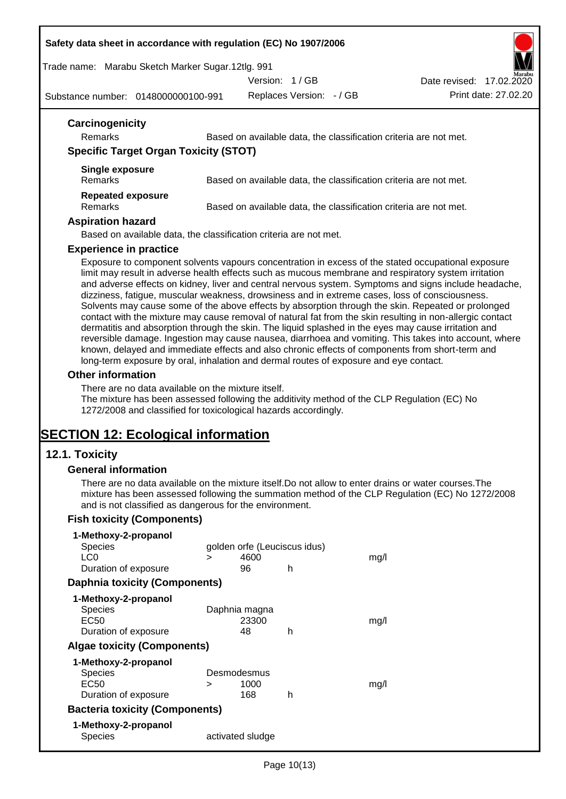#### **Safety data sheet in accordance with regulation (EC) No 1907/2006**

Trade name: Marabu Sketch Marker Sugar.12tlg. 991

Version: 1 / GB

Substance number: 0148000000100-991

Replaces Version: - / GB Print date: 27.02.20 Date revised: 17.02.2020

| Carcinogenicity<br><b>Remarks</b>            | Based on available data, the classification criteria are not met. |
|----------------------------------------------|-------------------------------------------------------------------|
| <b>Specific Target Organ Toxicity (STOT)</b> |                                                                   |
| Single exposure<br><b>Remarks</b>            | Based on available data, the classification criteria are not met. |
| <b>Repeated exposure</b><br><b>Remarks</b>   | Based on available data, the classification criteria are not met. |
| <b>Aspiration hazard</b>                     |                                                                   |

#### **Experience in practice**

Exposure to component solvents vapours concentration in excess of the stated occupational exposure limit may result in adverse health effects such as mucous membrane and respiratory system irritation and adverse effects on kidney, liver and central nervous system. Symptoms and signs include headache, dizziness, fatigue, muscular weakness, drowsiness and in extreme cases, loss of consciousness. Solvents may cause some of the above effects by absorption through the skin. Repeated or prolonged contact with the mixture may cause removal of natural fat from the skin resulting in non-allergic contact dermatitis and absorption through the skin. The liquid splashed in the eyes may cause irritation and reversible damage. Ingestion may cause nausea, diarrhoea and vomiting. This takes into account, where known, delayed and immediate effects and also chronic effects of components from short-term and long-term exposure by oral, inhalation and dermal routes of exposure and eye contact.

#### **Other information**

There are no data available on the mixture itself.

The mixture has been assessed following the additivity method of the CLP Regulation (EC) No 1272/2008 and classified for toxicological hazards accordingly.

## **SECTION 12: Ecological information**

#### **12.1. Toxicity**

#### **General information**

There are no data available on the mixture itself.Do not allow to enter drains or water courses.The mixture has been assessed following the summation method of the CLP Regulation (EC) No 1272/2008 and is not classified as dangerous for the environment.

#### **Fish toxicity (Components)**

| 1-Methoxy-2-propanol                  |   |                              |   |      |
|---------------------------------------|---|------------------------------|---|------|
| <b>Species</b>                        |   | golden orfe (Leuciscus idus) |   |      |
| LC <sub>0</sub>                       | > | 4600                         |   | mq/l |
| Duration of exposure                  |   | 96                           | h |      |
| <b>Daphnia toxicity (Components)</b>  |   |                              |   |      |
| 1-Methoxy-2-propanol                  |   |                              |   |      |
| Species                               |   | Daphnia magna                |   |      |
| EC50                                  |   | 23300                        |   | mq/l |
| Duration of exposure                  |   | 48                           | h |      |
| <b>Algae toxicity (Components)</b>    |   |                              |   |      |
| 1-Methoxy-2-propanol                  |   |                              |   |      |
| Species                               |   | Desmodesmus                  |   |      |
| EC50                                  | > | 1000                         |   | mg/l |
| Duration of exposure                  |   | 168                          | h |      |
| <b>Bacteria toxicity (Components)</b> |   |                              |   |      |
| 1-Methoxy-2-propanol                  |   |                              |   |      |
| Species                               |   | activated sludge             |   |      |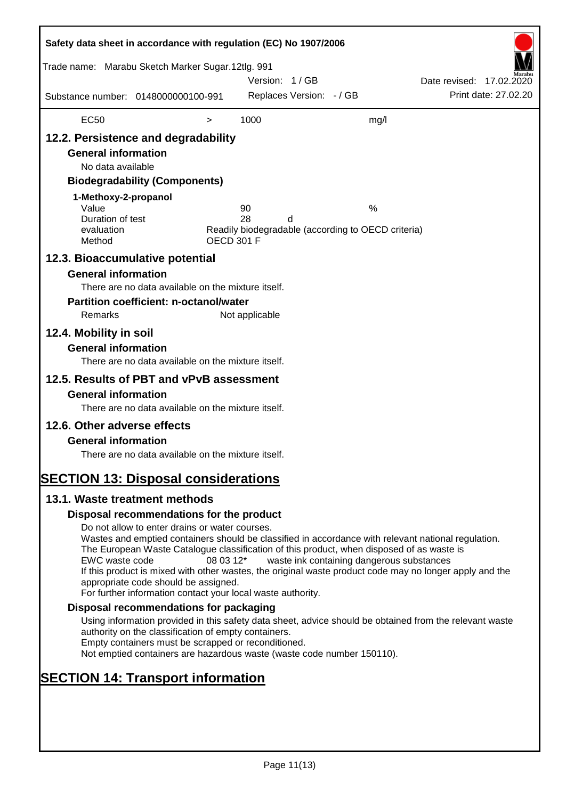| Safety data sheet in accordance with regulation (EC) No 1907/2006                                                                                                                                                                                                                                                                                                                                                                                                                                                                               |                                                                                                                                                                                                                                                                                                                                                                                                                                                                                                                                                                                                                                                                                                                                                                                                                                   |                                |                            |                          |                                                                                                      |                          |                      |
|-------------------------------------------------------------------------------------------------------------------------------------------------------------------------------------------------------------------------------------------------------------------------------------------------------------------------------------------------------------------------------------------------------------------------------------------------------------------------------------------------------------------------------------------------|-----------------------------------------------------------------------------------------------------------------------------------------------------------------------------------------------------------------------------------------------------------------------------------------------------------------------------------------------------------------------------------------------------------------------------------------------------------------------------------------------------------------------------------------------------------------------------------------------------------------------------------------------------------------------------------------------------------------------------------------------------------------------------------------------------------------------------------|--------------------------------|----------------------------|--------------------------|------------------------------------------------------------------------------------------------------|--------------------------|----------------------|
| Trade name: Marabu Sketch Marker Sugar.12tlg. 991                                                                                                                                                                                                                                                                                                                                                                                                                                                                                               |                                                                                                                                                                                                                                                                                                                                                                                                                                                                                                                                                                                                                                                                                                                                                                                                                                   |                                | Version: 1/GB              |                          |                                                                                                      | Date revised: 17.02.2020 |                      |
| Substance number: 0148000000100-991                                                                                                                                                                                                                                                                                                                                                                                                                                                                                                             |                                                                                                                                                                                                                                                                                                                                                                                                                                                                                                                                                                                                                                                                                                                                                                                                                                   |                                |                            | Replaces Version: - / GB |                                                                                                      |                          | Print date: 27,02.20 |
| <b>EC50</b>                                                                                                                                                                                                                                                                                                                                                                                                                                                                                                                                     |                                                                                                                                                                                                                                                                                                                                                                                                                                                                                                                                                                                                                                                                                                                                                                                                                                   | $\, > \,$                      | 1000                       |                          | mg/l                                                                                                 |                          |                      |
| 12.2. Persistence and degradability<br><b>General information</b><br>No data available<br>1-Methoxy-2-propanol<br>Value<br>Duration of test<br>evaluation<br>Method<br>12.3. Bioaccumulative potential<br><b>General information</b><br>Remarks<br>12.4. Mobility in soil<br><b>General information</b><br>12.5. Results of PBT and vPvB assessment<br><b>General information</b><br>12.6. Other adverse effects<br><b>General information</b><br><b>SECTION 13: Disposal considerations</b><br>13.1. Waste treatment methods<br>EWC waste code | <b>Biodegradability (Components)</b><br>There are no data available on the mixture itself.<br><b>Partition coefficient: n-octanol/water</b><br>There are no data available on the mixture itself.<br>There are no data available on the mixture itself.<br>There are no data available on the mixture itself.<br>Disposal recommendations for the product<br>Do not allow to enter drains or water courses.<br>Wastes and emptied containers should be classified in accordance with relevant national regulation.<br>The European Waste Catalogue classification of this product, when disposed of as waste is<br>If this product is mixed with other wastes, the original waste product code may no longer apply and the<br>appropriate code should be assigned.<br>For further information contact your local waste authority. | <b>OECD 301 F</b><br>08 03 12* | 90<br>28<br>Not applicable | d                        | %<br>Readily biodegradable (according to OECD criteria)<br>waste ink containing dangerous substances |                          |                      |
|                                                                                                                                                                                                                                                                                                                                                                                                                                                                                                                                                 | Disposal recommendations for packaging<br>Using information provided in this safety data sheet, advice should be obtained from the relevant waste                                                                                                                                                                                                                                                                                                                                                                                                                                                                                                                                                                                                                                                                                 |                                |                            |                          |                                                                                                      |                          |                      |
|                                                                                                                                                                                                                                                                                                                                                                                                                                                                                                                                                 | authority on the classification of empty containers.<br>Empty containers must be scrapped or reconditioned.<br>Not emptied containers are hazardous waste (waste code number 150110).                                                                                                                                                                                                                                                                                                                                                                                                                                                                                                                                                                                                                                             |                                |                            |                          |                                                                                                      |                          |                      |
| <b>SECTION 14: Transport information</b>                                                                                                                                                                                                                                                                                                                                                                                                                                                                                                        |                                                                                                                                                                                                                                                                                                                                                                                                                                                                                                                                                                                                                                                                                                                                                                                                                                   |                                |                            |                          |                                                                                                      |                          |                      |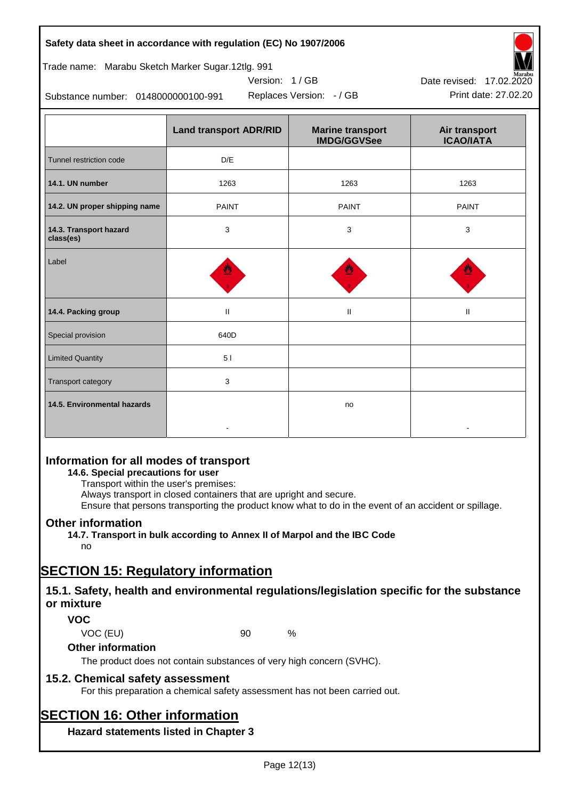#### **Safety data sheet in accordance with regulation (EC) No 1907/2006**

#### Trade name: Marabu Sketch Marker Sugar.12tlg. 991

Substance number: 0148000000100-991

|                                     | <b>Land transport ADR/RID</b> | <b>Marine transport</b><br><b>IMDG/GGVSee</b> | Air transport<br><b>ICAO/IATA</b> |
|-------------------------------------|-------------------------------|-----------------------------------------------|-----------------------------------|
| Tunnel restriction code             | D/E                           |                                               |                                   |
| 14.1. UN number                     | 1263                          | 1263                                          | 1263                              |
| 14.2. UN proper shipping name       | <b>PAINT</b>                  | <b>PAINT</b>                                  | <b>PAINT</b>                      |
| 14.3. Transport hazard<br>class(es) | 3                             | 3                                             | 3                                 |
| Label                               |                               |                                               |                                   |
| 14.4. Packing group                 | Ш                             | Ш                                             | Ш                                 |
| Special provision                   | 640D                          |                                               |                                   |
| <b>Limited Quantity</b>             | 51                            |                                               |                                   |
| Transport category                  | 3                             |                                               |                                   |
| 14.5. Environmental hazards         |                               | no                                            |                                   |

Version: 1 / GB

## **Information for all modes of transport**

## **14.6. Special precautions for user**

Transport within the user's premises:

Always transport in closed containers that are upright and secure.

Ensure that persons transporting the product know what to do in the event of an accident or spillage.

## **Other information**

**14.7. Transport in bulk according to Annex II of Marpol and the IBC Code**

## no

## **SECTION 15: Regulatory information**

## **15.1. Safety, health and environmental regulations/legislation specific for the substance or mixture**

## **VOC**

VOC (EU) 90 %

#### **Other information**

The product does not contain substances of very high concern (SVHC).

## **15.2. Chemical safety assessment**

For this preparation a chemical safety assessment has not been carried out.

# **SECTION 16: Other information**

**Hazard statements listed in Chapter 3**



Replaces Version: - / GB Print date: 27.02.20 Date revised: 17.02.2020